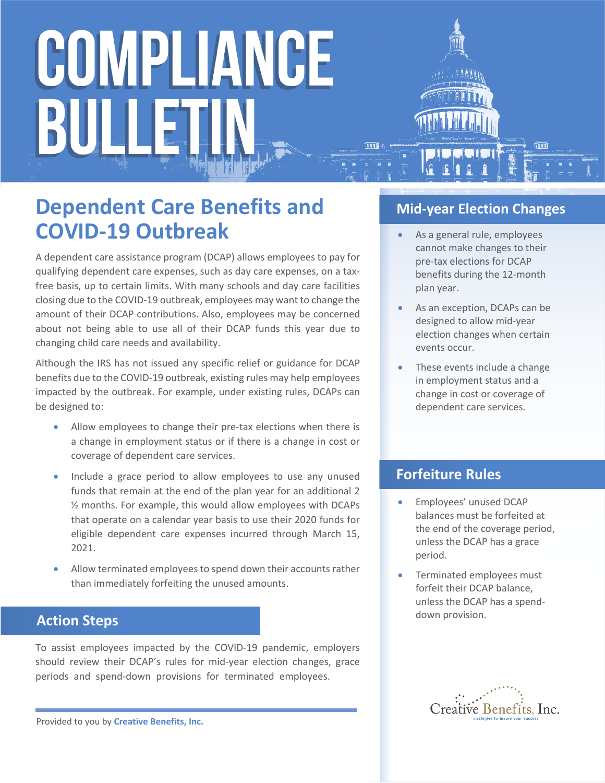# COMPLIANCE BULLET

### **Dependent Care Benefits and COVID-19 Outbreak**

A dependent care assistance program (DCAP) allows employees to pay for qualifying dependent care expenses, such as day care expenses, on a taxfree basis, up to certain limits. With many schools and day care facilities closing due to the COVID-19 outbreak, employees may want to change the amount of their DCAP contributions. Also, employees may be concerned about not being able to use all of their DCAP funds this year due to changing child care needs and availability.

Although the IRS has not issued any specific relief or guidance for DCAP benefits due to the COVID-19 outbreak, existing rules may help employees impacted by the outbreak. For example, under existing rules, DCAPs can be designed to:

- Allow employees to change their pre-tax elections when there is a change in employment status or if there is a change in cost or coverage of dependent care services.
- Include a grace period to allow employees to use any unused funds that remain at the end of the plan year for an additional 2 ½ months. For example, this would allow employees with DCAPs that operate on a calendar year basis to use their 2020 funds for eligible dependent care expenses incurred through March 15, 2021.
- Allow terminated employees to spend down their accounts rather than immediately forfeiting the unused amounts.

#### **Action Steps**

To assist employees impacted by the COVID-19 pandemic, employers should review their DCAP's rules for mid-year election changes, grace periods and spend-down provisions for terminated employees.

Provided to you by **Creative Benefits, Inc.**

#### **Mid-year Election Changes**

- As a general rule, employees cannot make changes to their pre-tax elections for DCAP benefits during the 12-month plan year.
- As an exception, DCAPs can be designed to allow mid-year election changes when certain events occur.
- These events include a change in employment status and a change in cost or coverage of dependent care services.

#### **Forfeiture Rules**

- **Employees' unused DCAP** balances must be forfeited at the end of the coverage period, unless the DCAP has a grace period.
- Terminated employees must forfeit their DCAP balance, unless the DCAP has a spenddown provision.

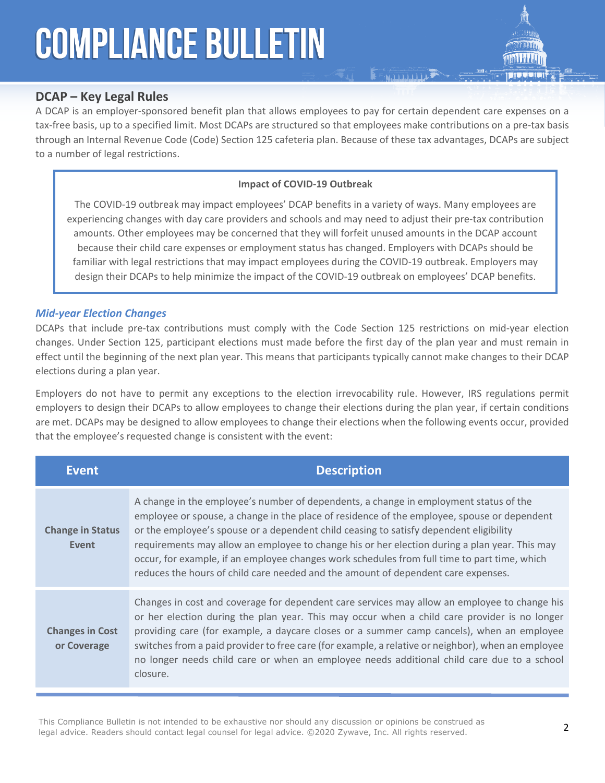## **COMPLIANCE BULLETIN**

#### **DCAP – Key Legal Rules**

A DCAP is an employer-sponsored benefit plan that allows employees to pay for certain dependent care expenses on a tax-free basis, up to a specified limit. Most DCAPs are structured so that employees make contributions on a pre-tax basis through an Internal Revenue Code (Code) Section 125 cafeteria plan. Because of these tax advantages, DCAPs are subject to a number of legal restrictions.

 $\sum$ 

#### **Impact of COVID-19 Outbreak**

The COVID-19 outbreak may impact employees' DCAP benefits in a variety of ways. Many employees are experiencing changes with day care providers and schools and may need to adjust their pre-tax contribution amounts. Other employees may be concerned that they will forfeit unused amounts in the DCAP account because their child care expenses or employment status has changed. Employers with DCAPs should be familiar with legal restrictions that may impact employees during the COVID-19 outbreak. Employers may design their DCAPs to help minimize the impact of the COVID-19 outbreak on employees' DCAP benefits.

#### *Mid-year Election Changes*

DCAPs that include pre-tax contributions must comply with the Code Section 125 restrictions on mid-year election changes. Under Section 125, participant elections must made before the first day of the plan year and must remain in effect until the beginning of the next plan year. This means that participants typically cannot make changes to their DCAP elections during a plan year.

Employers do not have to permit any exceptions to the election irrevocability rule. However, IRS regulations permit employers to design their DCAPs to allow employees to change their elections during the plan year, if certain conditions are met. DCAPs may be designed to allow employees to change their elections when the following events occur, provided that the employee's requested change is consistent with the event:

| <b>Event</b>                          | <b>Description</b>                                                                                                                                                                                                                                                                                                                                                                                                                                                                                                                                                   |
|---------------------------------------|----------------------------------------------------------------------------------------------------------------------------------------------------------------------------------------------------------------------------------------------------------------------------------------------------------------------------------------------------------------------------------------------------------------------------------------------------------------------------------------------------------------------------------------------------------------------|
| <b>Change in Status</b><br>Event      | A change in the employee's number of dependents, a change in employment status of the<br>employee or spouse, a change in the place of residence of the employee, spouse or dependent<br>or the employee's spouse or a dependent child ceasing to satisfy dependent eligibility<br>requirements may allow an employee to change his or her election during a plan year. This may<br>occur, for example, if an employee changes work schedules from full time to part time, which<br>reduces the hours of child care needed and the amount of dependent care expenses. |
| <b>Changes in Cost</b><br>or Coverage | Changes in cost and coverage for dependent care services may allow an employee to change his<br>or her election during the plan year. This may occur when a child care provider is no longer<br>providing care (for example, a daycare closes or a summer camp cancels), when an employee<br>switches from a paid provider to free care (for example, a relative or neighbor), when an employee<br>no longer needs child care or when an employee needs additional child care due to a school<br>closure.                                                            |